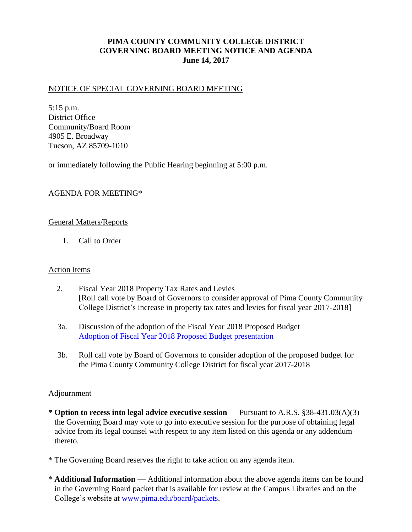## **PIMA COUNTY COMMUNITY COLLEGE DISTRICT GOVERNING BOARD MEETING NOTICE AND AGENDA June 14, 2017**

## NOTICE OF SPECIAL GOVERNING BOARD MEETING

5:15 p.m. District Office Community/Board Room 4905 E. Broadway Tucson, AZ 85709-1010

or immediately following the Public Hearing beginning at 5:00 p.m.

## AGENDA FOR MEETING\*

## General Matters/Reports

1. Call to Order

### Action Items

- 2. Fiscal Year 2018 Property Tax Rates and Levies [Roll call vote by Board of Governors to consider approval of Pima County Community College District's increase in property tax rates and levies for fiscal year 2017-2018]
- 3a. Discussion of the adoption of the Fiscal Year 2018 Proposed Budget [Adoption of Fiscal Year 2018 Proposed Budget presentation](http://www.pima.edu/meeting-notices-support/2017-docs/201706-14-adoption-fy2018-proposed-budget.pdf)
- 3b. Roll call vote by Board of Governors to consider adoption of the proposed budget for the Pima County Community College District for fiscal year 2017-2018

## Adjournment

- **\* Option to recess into legal advice executive session**  Pursuant to A.R.S. §38-431.03(A)(3) the Governing Board may vote to go into executive session for the purpose of obtaining legal advice from its legal counsel with respect to any item listed on this agenda or any addendum thereto.
- \* The Governing Board reserves the right to take action on any agenda item.
- \* **Additional Information**  Additional information about the above agenda items can be found in the Governing Board packet that is available for review at the Campus Libraries and on the College's website at [www.pima.edu/board/packets.](http://www.pima.edu/board/packets)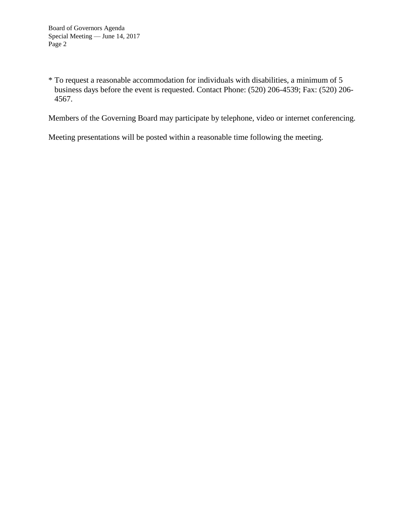\* To request a reasonable accommodation for individuals with disabilities, a minimum of 5 business days before the event is requested. Contact Phone: (520) 206-4539; Fax: (520) 206- 4567.

Members of the Governing Board may participate by telephone, video or internet conferencing.

Meeting presentations will be posted within a reasonable time following the meeting.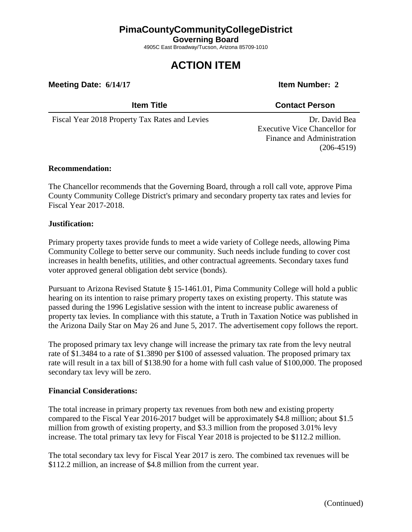## **PimaCountyCommunityCollegeDistrict**

**Governing Board**

4905C East Broadway/Tucson, Arizona 85709-1010

# **ACTION ITEM**

**Meeting Date: 6/14/17 Item Number: 2** 

## **Item Title Contact Person**

Fiscal Year 2018 Property Tax Rates and Levies Dr. David Bea

Executive Vice Chancellor for Finance and Administration (206-4519)

## **Recommendation:**

The Chancellor recommends that the Governing Board, through a roll call vote, approve Pima County Community College District's primary and secondary property tax rates and levies for Fiscal Year 2017-2018.

## **Justification:**

Primary property taxes provide funds to meet a wide variety of College needs, allowing Pima Community College to better serve our community. Such needs include funding to cover cost increases in health benefits, utilities, and other contractual agreements. Secondary taxes fund voter approved general obligation debt service (bonds).

Pursuant to Arizona Revised Statute § 15-1461.01, Pima Community College will hold a public hearing on its intention to raise primary property taxes on existing property. This statute was passed during the 1996 Legislative session with the intent to increase public awareness of property tax levies. In compliance with this statute, a Truth in Taxation Notice was published in the Arizona Daily Star on May 26 and June 5, 2017. The advertisement copy follows the report.

The proposed primary tax levy change will increase the primary tax rate from the levy neutral rate of \$1.3484 to a rate of \$1.3890 per \$100 of assessed valuation. The proposed primary tax rate will result in a tax bill of \$138.90 for a home with full cash value of \$100,000. The proposed secondary tax levy will be zero.

## **Financial Considerations:**

The total increase in primary property tax revenues from both new and existing property compared to the Fiscal Year 2016-2017 budget will be approximately \$4.8 million; about \$1.5 million from growth of existing property, and \$3.3 million from the proposed 3.01% levy increase. The total primary tax levy for Fiscal Year 2018 is projected to be \$112.2 million.

The total secondary tax levy for Fiscal Year 2017 is zero. The combined tax revenues will be \$112.2 million, an increase of \$4.8 million from the current year.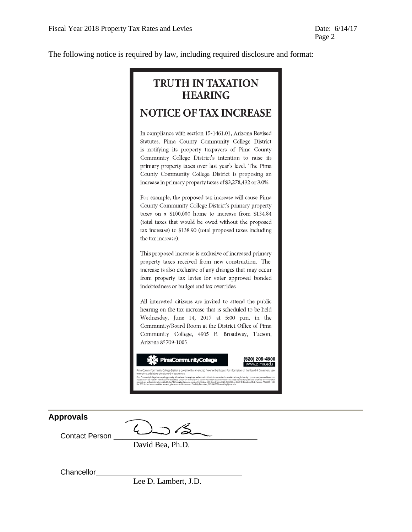The following notice is required by law, including required disclosure and format:

# **TRUTH IN TAXATION HEARING**

## **NOTICE OF TAX INCREASE**

In compliance with section 15-1461.01, Arizona Revised Statutes, Pima County Community College District is notifying its property taxpayers of Pima County Community College District's intention to raise its primary property taxes over last year's level. The Pima County Community College District is proposing an increase in primary property taxes of \$3,278,432 or 3.0%.

For example, the proposed tax increase will cause Pima County Community College District's primary property taxes on a \$100,000 home to increase from \$134.84 (total taxes that would be owed without the proposed tax increase) to \$138.90 (total proposed taxes including the tax increase).

This proposed increase is exclusive of increased primary property taxes received from new construction. The increase is also exclusive of any changes that may occur from property tax levies for voter approved bonded indebtedness or budget and tax overrides.

All interested citizens are invited to attend the public hearing on the tax increase that is scheduled to be held Wednesday, June 14, 2017 at 5:00 p.m. in the Community/Board Room at the District Office of Pima Community College, 4905 E. Broadway, Tucson, Arizona 85709-1005.



| Approvals             |                  |  |
|-----------------------|------------------|--|
| <b>Contact Person</b> |                  |  |
|                       | David Bea, Ph.D. |  |

**Chancellor** 

Lee D. Lambert, J.D.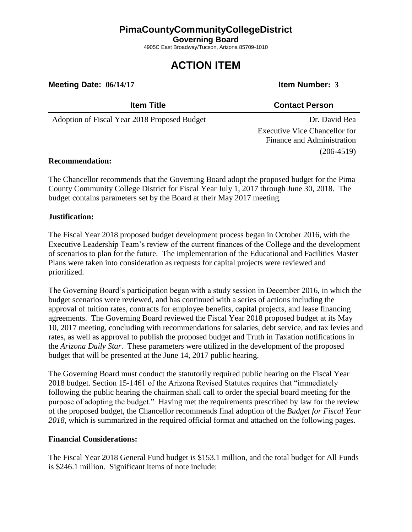## **PimaCountyCommunityCollegeDistrict**

**Governing Board**

4905C East Broadway/Tucson, Arizona 85709-1010

# **ACTION ITEM**

**Meeting Date: 06/14/17 Item Number: 3** 

## **Item Title Contact Person**

Adoption of Fiscal Year 2018 Proposed Budget Dr. David Bea

Executive Vice Chancellor for Finance and Administration (206-4519)

## **Recommendation:**

The Chancellor recommends that the Governing Board adopt the proposed budget for the Pima County Community College District for Fiscal Year July 1, 2017 through June 30, 2018. The budget contains parameters set by the Board at their May 2017 meeting.

## **Justification:**

The Fiscal Year 2018 proposed budget development process began in October 2016, with the Executive Leadership Team's review of the current finances of the College and the development of scenarios to plan for the future. The implementation of the Educational and Facilities Master Plans were taken into consideration as requests for capital projects were reviewed and prioritized.

The Governing Board's participation began with a study session in December 2016, in which the budget scenarios were reviewed, and has continued with a series of actions including the approval of tuition rates, contracts for employee benefits, capital projects, and lease financing agreements. The Governing Board reviewed the Fiscal Year 2018 proposed budget at its May 10, 2017 meeting, concluding with recommendations for salaries, debt service, and tax levies and rates, as well as approval to publish the proposed budget and Truth in Taxation notifications in the *Arizona Daily Star*. These parameters were utilized in the development of the proposed budget that will be presented at the June 14, 2017 public hearing.

The Governing Board must conduct the statutorily required public hearing on the Fiscal Year 2018 budget. Section 15-1461 of the Arizona Revised Statutes requires that "immediately following the public hearing the chairman shall call to order the special board meeting for the purpose of adopting the budget." Having met the requirements prescribed by law for the review of the proposed budget, the Chancellor recommends final adoption of the *Budget for Fiscal Year 2018*, which is summarized in the required official format and attached on the following pages.

## **Financial Considerations:**

The Fiscal Year 2018 General Fund budget is \$153.1 million, and the total budget for All Funds is \$246.1 million. Significant items of note include: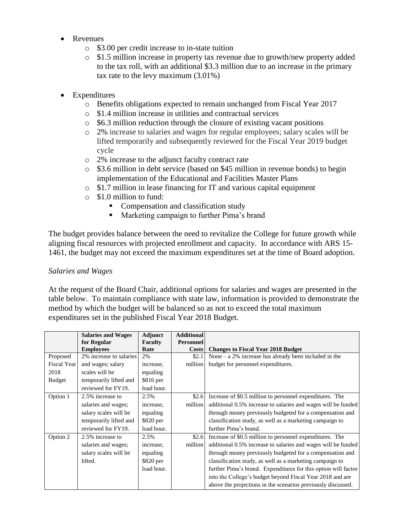- Revenues
	- o \$3.00 per credit increase to in-state tuition
	- o \$1.5 million increase in property tax revenue due to growth/new property added to the tax roll, with an additional \$3.3 million due to an increase in the primary tax rate to the levy maximum (3.01%)
- Expenditures
	- o Benefits obligations expected to remain unchanged from Fiscal Year 2017
	- o \$1.4 million increase in utilities and contractual services
	- o \$6.3 million reduction through the closure of existing vacant positions
	- o 2% increase to salaries and wages for regular employees; salary scales will be lifted temporarily and subsequently reviewed for the Fiscal Year 2019 budget cycle
	- o 2% increase to the adjunct faculty contract rate
	- o \$3.6 million in debt service (based on \$45 million in revenue bonds) to begin implementation of the Educational and Facilities Master Plans
	- o \$1.7 million in lease financing for IT and various capital equipment
	- o \$1.0 million to fund:
		- Compensation and classification study
		- **Marketing campaign to further Pima's brand**

The budget provides balance between the need to revitalize the College for future growth while aligning fiscal resources with projected enrollment and capacity. In accordance with ARS 15- 1461, the budget may not exceed the maximum expenditures set at the time of Board adoption.

## *Salaries and Wages*

At the request of the Board Chair, additional options for salaries and wages are presented in the table below. To maintain compliance with state law, information is provided to demonstrate the method by which the budget will be balanced so as not to exceed the total maximum expenditures set in the published Fiscal Year 2018 Budget.

|               | <b>Salaries and Wages</b><br>for Regular | Adjunct<br>Faculty | <b>Additional</b><br><b>Personnel</b> |                                                                |
|---------------|------------------------------------------|--------------------|---------------------------------------|----------------------------------------------------------------|
|               | <b>Employees</b>                         | Rate               | Costs                                 | <b>Changes to Fiscal Year 2018 Budget</b>                      |
| Proposed      | 2% increase to salaries                  | 2%                 | \$2.1                                 | None $-$ a 2% increase has already been included in the        |
| Fiscal Year   | and wages; salary                        | increase,          | million                               | budget for personnel expenditures.                             |
| 2018          | scales will be                           | equaling           |                                       |                                                                |
| <b>Budget</b> | temporarily lifted and                   | \$816 per          |                                       |                                                                |
|               | reviewed for FY19.                       | load hour.         |                                       |                                                                |
| Option 1      | 2.5% increase to                         | 2.5%               | \$2.6                                 | Increase of \$0.5 million to personnel expenditures. The       |
|               | salaries and wages;                      | increase,          | million                               | additional 0.5% increase to salaries and wages will be funded  |
|               | salary scales will be                    | equaling           |                                       | through money previously budgeted for a compensation and       |
|               | temporarily lifted and                   | \$820 per          |                                       | classification study, as well as a marketing campaign to       |
|               | reviewed for FY19.                       | load hour.         |                                       | further Pima's brand.                                          |
| Option 2      | 2.5% increase to                         | 2.5%               | \$2.6                                 | Increase of \$0.5 million to personnel expenditures. The       |
|               | salaries and wages;                      | increase,          | million                               | additional 0.5% increase to salaries and wages will be funded  |
|               | salary scales will be                    | equaling           |                                       | through money previously budgeted for a compensation and       |
|               | lifted.                                  | \$820 per          |                                       | classification study, as well as a marketing campaign to       |
|               |                                          | load hour.         |                                       | further Pima's brand. Expenditures for this option will factor |
|               |                                          |                    |                                       | into the College's budget beyond Fiscal Year 2018 and are      |
|               |                                          |                    |                                       | above the projections in the scenarios previously discussed.   |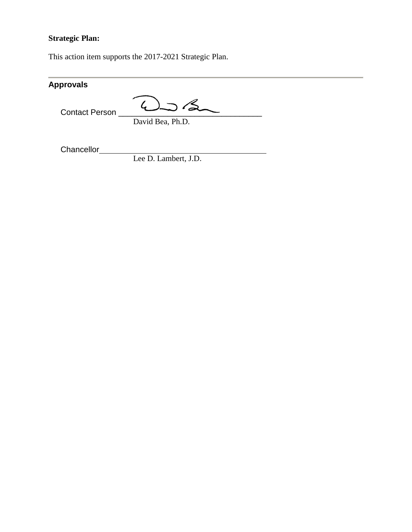## **Strategic Plan:**

This action item supports the 2017-2021 Strategic Plan.

| <b>Approvals</b>      |                         |  |
|-----------------------|-------------------------|--|
| <b>Contact Person</b> | $\supset$ $\mathcal{L}$ |  |
|                       | David Bea, Ph.D.        |  |
|                       |                         |  |

**Chancellor** 

Lee D. Lambert, J.D.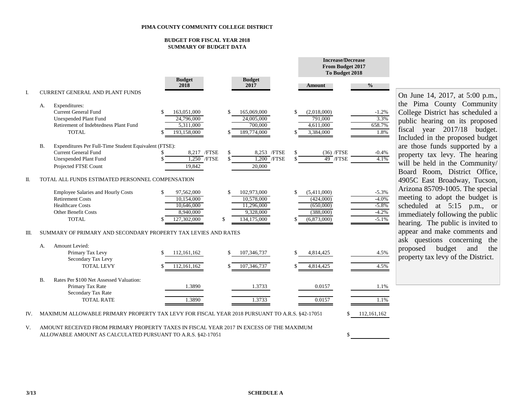#### **BUDGET FOR FISCAL YEAR 2018 SUMMARY OF BUDGET DATA**

|      |           |                                                                                                                                                                                                         |                                                                    |          |                                                                     |                               |                 | <b>From Budget 2017</b><br>To Budget 2018                         |                                                     |
|------|-----------|---------------------------------------------------------------------------------------------------------------------------------------------------------------------------------------------------------|--------------------------------------------------------------------|----------|---------------------------------------------------------------------|-------------------------------|-----------------|-------------------------------------------------------------------|-----------------------------------------------------|
| I.   |           | <b>CURRENT GENERAL AND PLANT FUNDS</b>                                                                                                                                                                  | <b>Budget</b><br>2018                                              |          | <b>Budget</b><br>2017                                               |                               |                 | Amount                                                            | $\frac{0}{0}$                                       |
|      | А.        | Expenditures:<br><b>Current General Fund</b><br>Unexpended Plant Fund<br>Retirement of Indebtedness Plant Fund<br><b>TOTAL</b>                                                                          | 163,051,000<br>24,796,000<br>5,311,000<br>193,158,000              | \$       | 165,069,000<br>24,005,000<br>700,000<br>189,774,000                 |                               | <b>S</b><br>\$. | (2,018,000)<br>791,000<br>4,611,000<br>3,384,000                  | $-1.2%$<br>3.3%<br>658.7%<br>1.8%                   |
|      | <b>B.</b> | Expenditures Per Full-Time Student Equivalent (FTSE):<br><b>Current General Fund</b><br>Unexpended Plant Fund<br>Projected FTSE Count                                                                   | 8,217 / FTSE<br>$1,250$ /FTSE<br>19.842                            | \$.      | 20,000                                                              | 8,253 / FTSE<br>$1,200$ /FTSE |                 | $(36)$ /FTSE<br>49 / FTSE                                         | $-0.4%$<br>4.1%                                     |
| Π.   |           | TOTAL ALL FUNDS ESTIMATED PERSONNEL COMPENSATION<br><b>Employee Salaries and Hourly Costs</b><br><b>Retirement Costs</b><br><b>Healthcare Costs</b><br><b>Other Benefit Costs</b><br><b>TOTAL</b>       | 97,562,000<br>10,154,000<br>10,646,000<br>8,940,000<br>127,302,000 | \$<br>\$ | 102,973,000<br>10,578,000<br>11,296,000<br>9,328,000<br>134,175,000 |                               | \$              | (5,411,000)<br>(424,000)<br>(650,000)<br>(388,000)<br>(6,873,000) | $-5.3%$<br>$-4.0%$<br>$-5.8%$<br>$-4.2%$<br>$-5.1%$ |
| III. | А.        | SUMMARY OF PRIMARY AND SECONDARY PROPERTY TAX LEVIES AND RATES<br>Amount Levied:<br>Primary Tax Levy<br>Secondary Tax Levy<br><b>TOTAL LEVY</b>                                                         | 112, 161, 162<br>112, 161, 162                                     | \$       | 107,346,737<br>107,346,737                                          |                               | \$              | 4,814,425<br>4,814,425                                            | 4.5%<br>4.5%                                        |
| IV.  | B.        | Rates Per \$100 Net Assessed Valuation:<br>Primary Tax Rate<br>Secondary Tax Rate<br><b>TOTAL RATE</b><br>MAXIMUM ALLOWABLE PRIMARY PROPERTY TAX LEVY FOR FISCAL YEAR 2018 PURSUANT TO A.R.S. §42-17051 | 1.3890<br>1.3890                                                   |          | 1.3733<br>1.3733                                                    |                               |                 | 0.0157<br>0.0157                                                  | 1.1%<br>1.1%<br>112, 161, 162                       |

On June 14, 2017, at 5:00 p.m., the Pima County Community College District has scheduled a public hearing on its proposed fiscal year 2017/18 budget. Included in the proposed budget are those funds supported by a property tax levy. The hearing will be held in the Community/ Board Room, District Office, 4905C East Broadway, Tucson, Arizona 85709-1005. The special meeting to adopt the budget is scheduled at 5:15 p.m., or immediately following the public hearing. The public is invited to appear and make comments and ask questions concerning the proposed budget and the property tax levy of the District.

V. AMOUNT RECEIVED FROM PRIMARY PROPERTY TAXES IN FISCAL YEAR 2017 IN EXCESS OF THE MAXIMUM ALLOWABLE AMOUNT AS CALCULATED PURSUANT TO A.R.S. §42-17051

\$

**Increase/Decrease**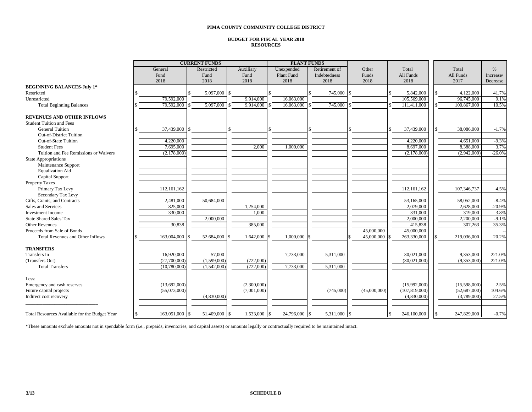#### **PIMA COUNTY COMMUNITY COLLEGE DISTRICT**

#### **BUDGET FOR FISCAL YEAR 2018 RESOURCES**

|                                               | <b>CURRENT FUNDS</b> |  |               |  |             | <b>PLANT FUNDS</b> |                   |  |               |      |              |                 |    |              |           |
|-----------------------------------------------|----------------------|--|---------------|--|-------------|--------------------|-------------------|--|---------------|------|--------------|-----------------|----|--------------|-----------|
|                                               | General              |  | Restricted    |  | Auxiliary   |                    | Unexpended        |  | Retirement of |      | Other        | Total           |    | Total        | $\%$      |
|                                               | Fund                 |  | Fund          |  | Fund        |                    | <b>Plant Fund</b> |  | Indebtedness  |      | Funds        | All Funds       |    | All Funds    | Increase/ |
|                                               | 2018                 |  | 2018          |  | 2018        |                    | 2018              |  | 2018          |      | 2018         | 2018            |    | 2017         | Decrease  |
| <b>BEGINNING BALANCES-July 1*</b>             |                      |  |               |  |             |                    |                   |  |               |      |              |                 |    |              |           |
| Restricted                                    |                      |  | 5,097,000 \$  |  |             |                    |                   |  | 745,000       | S    |              | 5,842,000       |    | 4,122,000    | 41.7%     |
| Unrestricted                                  | 79,592,000           |  |               |  | 9,914,000   |                    | 16,063,000        |  |               |      |              | 105,569,000     |    | 96,745,000   | 9.1%      |
| <b>Total Beginning Balances</b>               | 79,592,000           |  | 5,097,000     |  | 9,914,000   |                    | 16,063,000        |  | 745,000       |      |              | 111,411,000     |    | 100,867,000  | 10.5%     |
| <b>REVENUES AND OTHER INFLOWS</b>             |                      |  |               |  |             |                    |                   |  |               |      |              |                 |    |              |           |
| <b>Student Tuition and Fees</b>               |                      |  |               |  |             |                    |                   |  |               |      |              |                 |    |              |           |
| <b>General Tuition</b>                        | 37,439,000           |  |               |  |             |                    |                   |  |               |      |              | 37,439,000      | S. | 38,086,000   | $-1.7%$   |
| <b>Out-of-District Tuition</b>                |                      |  |               |  |             |                    |                   |  |               |      |              |                 |    |              |           |
| Out-of-State Tuition                          | 4,220,000            |  |               |  |             |                    |                   |  |               |      |              | 4,220,000       |    | 4,651,000    | $-9.3%$   |
| <b>Student Fees</b>                           | 7,695,000            |  |               |  | 2,000       |                    | 1,000,000         |  |               |      |              | 8,697,000       |    | 8,388,000    | 3.7%      |
| Tuition and Fee Remissions or Waivers         | (2,178,000)          |  |               |  |             |                    |                   |  |               |      |              | (2,178,000)     |    | (2,942,000)  | $-26.0%$  |
| <b>State Appropriations</b>                   |                      |  |               |  |             |                    |                   |  |               |      |              |                 |    |              |           |
| Maintenance Support                           |                      |  |               |  |             |                    |                   |  |               |      |              |                 |    |              |           |
| <b>Equalization Aid</b>                       |                      |  |               |  |             |                    |                   |  |               |      |              |                 |    |              |           |
| Capital Support                               |                      |  |               |  |             |                    |                   |  |               |      |              |                 |    |              |           |
| <b>Property Taxes</b>                         |                      |  |               |  |             |                    |                   |  |               |      |              |                 |    |              |           |
| Primary Tax Levy                              | 112,161,162          |  |               |  |             |                    |                   |  |               |      |              | 112, 161, 162   |    | 107,346,737  | 4.5%      |
| Secondary Tax Levy                            |                      |  |               |  |             |                    |                   |  |               |      |              |                 |    |              |           |
| Gifts, Grants, and Contracts                  | 2,481,000            |  | 50,684,000    |  |             |                    |                   |  |               |      |              | 53,165,000      |    | 58,052,000   | $-8.4%$   |
| Sales and Services                            | 825,000              |  |               |  | 1,254,000   |                    |                   |  |               |      |              | 2,079,000       |    | 2,628,000    | $-20.9%$  |
| <b>Investment Income</b>                      | 330,000              |  |               |  | 1,000       |                    |                   |  |               |      |              | 331,000         |    | 319,000      | 3.8%      |
| <b>State Shared Sales Tax</b>                 |                      |  | 2,000,000     |  |             |                    |                   |  |               |      |              | 2,000,000       |    | 2,200,000    | $-9.1%$   |
| <b>Other Revenues</b>                         | 30,838               |  |               |  | 385,000     |                    |                   |  |               |      |              | 415,838         |    | 307,263      | 35.3%     |
| Proceeds from Sale of Bonds                   |                      |  |               |  |             |                    |                   |  |               |      | 45,000,000   | 45,000,000      |    |              | $\sim$    |
| <b>Total Revenues and Other Inflows</b>       | 163,004,000          |  | 52,684,000    |  | 1,642,000   |                    | 1,000,000         |  |               |      | 45,000,000   | 263,330,000     |    | 219,036,000  | 20.2%     |
| <b>TRANSFERS</b>                              |                      |  |               |  |             |                    |                   |  |               |      |              |                 |    |              |           |
| Transfers In                                  | 16,920,000           |  | 57,000        |  |             |                    | 7,733,000         |  | 5,311,000     |      |              | 30,021,000      |    | 9,353,000    | 221.0%    |
| (Transfers Out)                               | (27,700,000)         |  | (1,599,000)   |  | (722,000)   |                    |                   |  |               |      |              | (30,021,000)    |    | (9,353,000)  | 221.0%    |
| <b>Total Transfers</b>                        | (10,780,000)         |  | (1,542,000)   |  | (722,000)   |                    | 7,733,000         |  | 5,311,000     |      |              |                 |    |              |           |
| Less:                                         |                      |  |               |  |             |                    |                   |  |               |      |              |                 |    |              |           |
| Emergency and cash reserves                   | (13,692,000)         |  |               |  | (2,300,000) |                    |                   |  |               |      |              | (15,992,000)    |    | (15,598,000) | 2.5%      |
| Future capital projects                       | (55,073,000)         |  |               |  | (7,001,000) |                    |                   |  | (745,000)     |      | (45,000,000) | (107, 819, 000) |    | (52,687,000) | 104.6%    |
| Indirect cost recovery                        |                      |  | (4,830,000)   |  |             |                    |                   |  |               |      |              | (4,830,000)     |    | (3,789,000)  | 27.5%     |
| Total Resources Available for the Budget Year | 163,051,000 \$       |  | 51,409,000 \$ |  | 1,533,000   |                    | 24,796,000        |  | 5,311,000     | l \$ |              | 246,100,000     |    | 247,829,000  | $-0.7%$   |
|                                               |                      |  |               |  |             |                    |                   |  |               |      |              |                 |    |              |           |

\*These amounts exclude amounts not in spendable form (i.e., prepaids, inventories, and capital assets) or amounts legally or contractually required to be maintained intact.